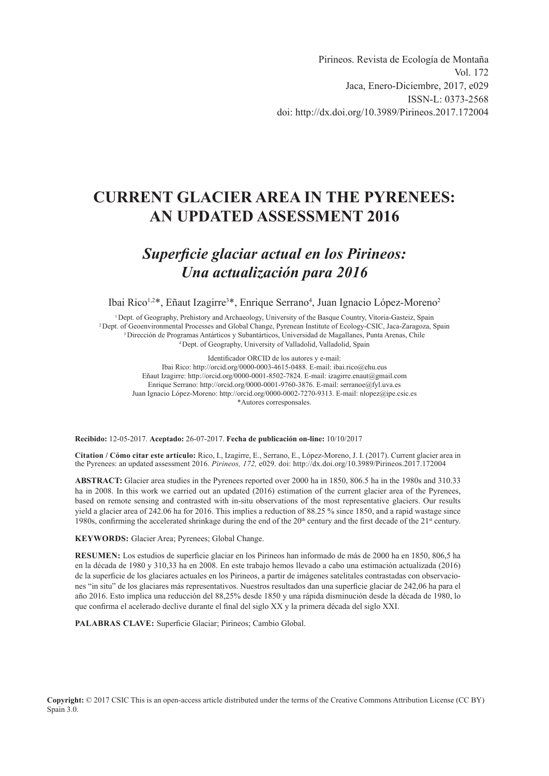Pirineos. Revista de Ecología de Montaña Vol. 172 Jaca, Enero-Diciembre, 2017, e029 ISSN-L: 0373-2568 doi:<http://dx.doi.org/10.3989/Pirineos.2017.172004>

# **CURRENT GLACIER AREA IN THE PYRENEES: AN UPDATED ASSESSMENT 2016**

# *Superficie glaciar actual en los Pirineos: Una actualización para 2016*

Ibai Rico<sup>1,2\*</sup>, Eñaut Izagirre<sup>3\*</sup>, Enrique Serrano<sup>4</sup>, Juan Ignacio López-Moreno<sup>2</sup>

<sup>1</sup> Dept. of Geography, Prehistory and Archaeology, University of the Basque Country, Vitoria-Gasteiz, Spain<br><sup>2</sup> Dept. of Geoenvironmental Processes and Global Change, Pyrenean Institute of Ecology-CSIC, Jaca-Zaragoza, Spa

Identificador ORCID de los autores y e-mail: Ibai Rico: [http://orcid.org/0](http://orcid.org/)000-0003-4615-0488. E-mail: ibai.rico@ehu.eus Eñaut Izagirre: <http://orcid.org/0000-0001-8502-7824>. E-mail: izagirre.enaut@gmail.com Enrique Serrano: <http://orcid.org/0000-0001-9760-3876>. E-mail: serranoe@fyl.uva.es Juan Ignacio López-Moreno:<http://orcid.org/0000-0002-7270-9313>. E-mail: nlopez@ipe.csic.es \*Autores corresponsales.

**Recibido:** 12-05-2017. **Aceptado:** 26-07-2017. **Fecha de publicación on-line:** 10/10/2017

**Citation / Cómo citar este artículo:** Rico, I., Izagirre, E., Serrano, E., López-Moreno, J. I. (2017). Current glacier area in the Pyrenees: an updated assessment 2016. *Pirineos, 172,* e029. doi: <http://dx.doi.org/10.3989/Pirineos.2017.172004>

**ABSTRACT:** Glacier area studies in the Pyrenees reported over 2000 ha in 1850, 806.5 ha in the 1980s and 310.33 ha in 2008. In this work we carried out an updated (2016) estimation of the current glacier area of the Pyrenees, based on remote sensing and contrasted with in-situ observations of the most representative glaciers. Our results yield a glacier area of 242.06 ha for 2016. This implies a reduction of 88.25 % since 1850, and a rapid wastage since 1980s, confirming the accelerated shrinkage during the end of the  $20<sup>th</sup>$  century and the first decade of the  $21<sup>st</sup>$  century.

**KEYWORDS:** Glacier Area; Pyrenees; Global Change.

**RESUMEN:** Los estudios de superficie glaciar en los Pirineos han informado de más de 2000 ha en 1850, 806,5 ha en la década de 1980 y 310,33 ha en 2008. En este trabajo hemos llevado a cabo una estimación actualizada (2016) de la superficie de los glaciares actuales en los Pirineos, a partir de imágenes satelitales contrastadas con observaciones "in situ" de los glaciares más representativos. Nuestros resultados dan una superficie glaciar de 242,06 ha para el año 2016. Esto implica una reducción del 88,25% desde 1850 y una rápida disminución desde la década de 1980, lo que confirma el acelerado declive durante el final del siglo XX y la primera década del siglo XXI.

**PALABRAS CLAVE:** Superficie Glaciar; Pirineos; Cambio Global.

**Copyright:** © 2017 CSIC This is an open-access article distributed under the terms of the Creative Commons Attribution License (CC BY) Spain 3.0.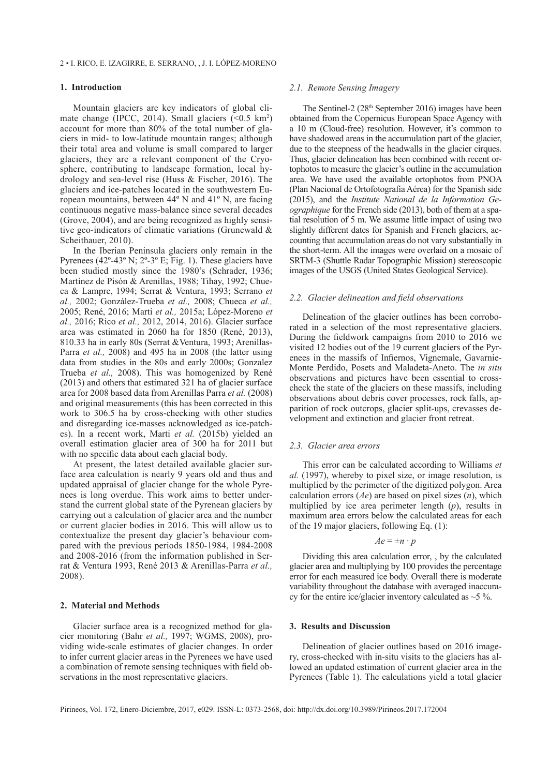### **1. Introduction**

Mountain glaciers are key indicators of global climate change (IPCC, 2014). Small glaciers  $(\leq 0.5 \text{ km}^2)$ account for more than 80% of the total number of glaciers in mid- to low-latitude mountain ranges; although their total area and volume is small compared to larger glaciers, they are a relevant component of the Cryosphere, contributing to landscape formation, local hydrology and sea-level rise (Huss & Fischer, 2016). The glaciers and ice-patches located in the southwestern European mountains, between 44º N and 41º N, are facing continuous negative mass-balance since several decades (Grove, 2004), and are being recognized as highly sensitive geo-indicators of climatic variations (Grunewald & Scheithauer, 2010).

In the Iberian Peninsula glaciers only remain in the Pyrenees  $(42^{\circ} - 43^{\circ} \text{ N}; 2^{\circ} - 3^{\circ} \text{ E}; \text{ Fig. 1})$ . These glaciers have been studied mostly since the 1980's (Schrader, 1936; Martínez de Pisón & Arenillas, 1988; Tihay, 1992; Chueca & Lampre, 1994; Serrat & Ventura, 1993; Serrano *et al.,* 2002; González-Trueba *et al.,* 2008; Chueca *et al.,* 2005; René, 2016; Marti *et al.,* 2015a; López-Moreno *et al.,* 2016; Rico *et al.,* 2012, 2014, 2016). Glacier surface area was estimated in 2060 ha for 1850 (René, 2013), 810.33 ha in early 80s (Serrat &Ventura, 1993; Arenillas-Parra *et al.,* 2008) and 495 ha in 2008 (the latter using data from studies in the 80s and early 2000s; Gonzalez Trueba *et al.,* 2008). This was homogenized by René (2013) and others that estimated 321 ha of glacier surface area for 2008 based data from Arenillas Parra *et al.* (2008) and original measurements (this has been corrected in this work to 306.5 ha by cross-checking with other studies and disregarding ice-masses acknowledged as ice-patches). In a recent work, Marti *et al.* (2015b) yielded an overall estimation glacier area of 300 ha for 2011 but with no specific data about each glacial body.

At present, the latest detailed available glacier surface area calculation is nearly 9 years old and thus and updated appraisal of glacier change for the whole Pyrenees is long overdue. This work aims to better understand the current global state of the Pyrenean glaciers by carrying out a calculation of glacier area and the number or current glacier bodies in 2016. This will allow us to contextualize the present day glacier's behaviour compared with the previous periods 1850-1984, 1984-2008 and 2008-2016 (from the information published in Serrat & Ventura 1993, René 2013 & Arenillas-Parra *et al.,* 2008).

#### **2. Material and Methods**

Glacier surface area is a recognized method for glacier monitoring (Bahr *et al.,* 1997; WGMS, 2008), providing wide-scale estimates of glacier changes. In order to infer current glacier areas in the Pyrenees we have used a combination of remote sensing techniques with field observations in the most representative glaciers.

## *2.1. Remote Sensing Imagery*

The Sentinel-2  $(28<sup>th</sup>$  September 2016) images have been obtained from the Copernicus European Space Agency with a 10 m (Cloud-free) resolution. However, it's common to have shadowed areas in the accumulation part of the glacier, due to the steepness of the headwalls in the glacier cirques. Thus, glacier delineation has been combined with recent ortophotos to measure the glacier's outline in the accumulation area. We have used the available ortophotos from PNOA (Plan Nacional de Ortofotografía Aérea) for the Spanish side (2015), and the *Institute National de la Information Geographique* for the French side (2013), both of them at a spatial resolution of 5 m. We assume little impact of using two slightly different dates for Spanish and French glaciers, accounting that accumulation areas do not vary substantially in the short-term. All the images were overlaid on a mosaic of SRTM-3 (Shuttle Radar Topographic Mission) stereoscopic images of the USGS (United States Geological Service).

#### *2.2. Glacier delineation and field observations*

Delineation of the glacier outlines has been corroborated in a selection of the most representative glaciers. During the fieldwork campaigns from 2010 to 2016 we visited 12 bodies out of the 19 current glaciers of the Pyrenees in the massifs of Infiernos, Vignemale, Gavarnie-Monte Perdido, Posets and Maladeta-Aneto. The *in situ* observations and pictures have been essential to crosscheck the state of the glaciers on these massifs, including observations about debris cover processes, rock falls, apparition of rock outcrops, glacier split-ups, crevasses development and extinction and glacier front retreat.

# *2.3. Glacier area errors*

This error can be calculated according to Williams *et al.* (1997), whereby to pixel size, or image resolution, is multiplied by the perimeter of the digitized polygon. Area calculation errors (*Ae*) are based on pixel sizes (*n*), which multiplied by ice area perimeter length (*p*), results in maximum area errors below the calculated areas for each of the 19 major glaciers, following Eq. (1):

## $Ae = \pm n \cdot p$

Dividing this area calculation error, , by the calculated glacier area and multiplying by 100 provides the percentage error for each measured ice body. Overall there is moderate variability throughout the database with averaged inaccuracy for the entire ice/glacier inventory calculated as  $\sim$  5 %.

#### **3. Results and Discussion**

Delineation of glacier outlines based on 2016 imagery, cross-checked with in-situ visits to the glaciers has allowed an updated estimation of current glacier area in the Pyrenees (Table 1). The calculations yield a total glacier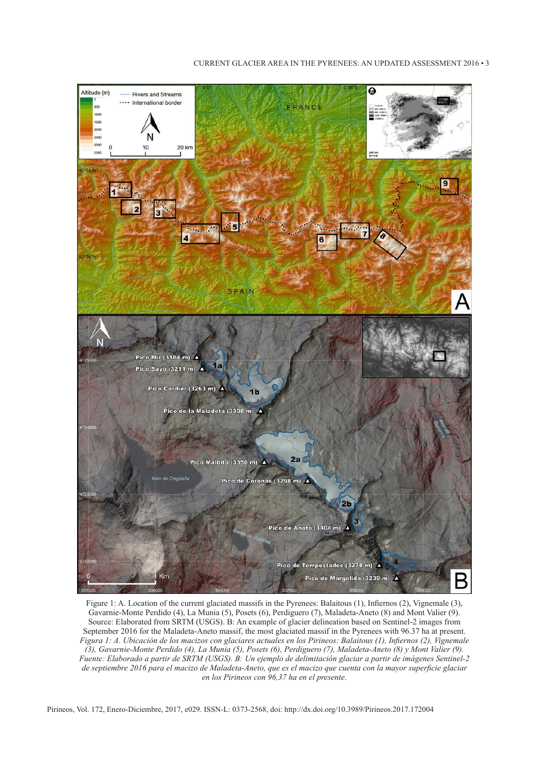# $\Omega$ Altitude (m) **Rivers and Streams** .... International horder FRANCE 20 km 10  $100 \text{ km}$  $\overline{\mathbf{z}}$  $\overline{4}$ SPAIN Pico Mir (3184 m)  $\triangle$ Pico Sayó (3211 m) A Pico Cordier (3263 m)  $1<sub>b</sub>$ Pico de la Maladeta (3308 m) A  $2a$ Pico Maldito (3350 m)  $\triangle$ Pico de Coronas (3298 m) A  $2<sub>b</sub>$ Pico de Aneto (3404 m) Pico de Tempestades (3278 m) A Km Pico de Margalida (3239 m) A B

CURRENT GLACIER AREA IN THE PYRENEES: AN UPDATED ASSESSMENT 2016 • 3

Figure 1: A. Location of the current glaciated massifs in the Pyrenees: Balaitous (1), Infiernos (2), Vignemale (3), Gavarnie-Monte Perdido (4), La Munia (5), Posets (6), Perdiguero (7), Maladeta-Aneto (8) and Mont Valier (9). Source: Elaborated from SRTM (USGS). B: An example of glacier delineation based on Sentinel-2 images from September 2016 for the Maladeta-Aneto massif, the most glaciated massif in the Pyrenees with 96.37 ha at present. Figura 1: A. Ubicación de los macizos con glaciares actuales en los Pirineos: Balaitous (1), Infiernos (2), Vignemale (3), Gavarnie-Monte Perdido (4), La Munia (5), Posets (6), Perdiguero (7), Maladeta-Aneto (8) y Mont Valier (9). Fuente: Elaborado a partir de SRTM (USGS). B: Un ejemplo de delimitación glaciar a partir de imágenes Sentinel-2 de septiembre 2016 para el macizo de Maladeta-Aneto, que es el macizo que cuenta con la mayor superficie glaciar *en los Pirineos con 96,37 ha en el presente.*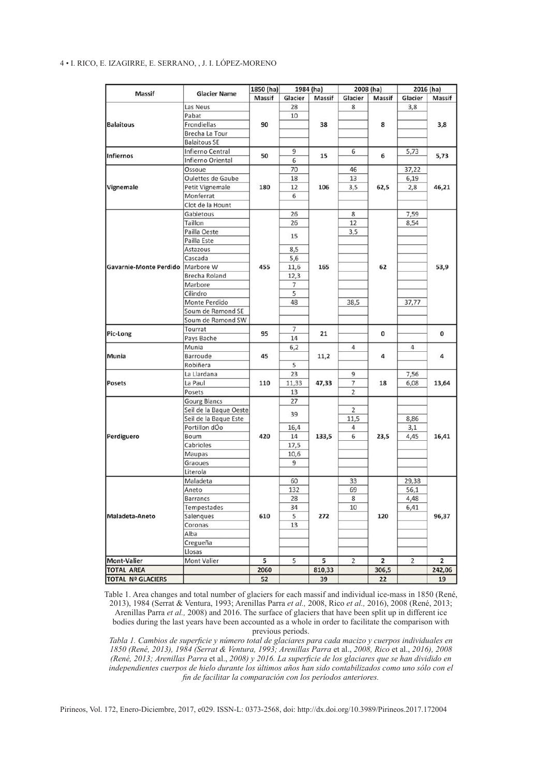# 4 • I. Rico, E. Izagirre, E. Serrano, , J. I. López-Moreno

| Massif                                         | <b>Glacier Name</b>    | 1850 (ha)<br>Massif | 1984 (ha) |           | 2008 (ha)      |                | 2016 (ha)      |                         |
|------------------------------------------------|------------------------|---------------------|-----------|-----------|----------------|----------------|----------------|-------------------------|
|                                                |                        |                     | Glacier   | Massif    | Glacier        | Massif         | Glacier        | Massif                  |
| <b>Balaitous</b>                               | Las Neus               |                     | 28        |           | 8              |                | 3,8            | 3,8                     |
|                                                | Pabat                  |                     | 10        |           |                | 8              |                |                         |
|                                                | Frondiellas            | 90                  |           | 38        |                |                |                |                         |
|                                                | Brecha La Tour         |                     |           |           |                |                |                |                         |
|                                                | <b>Balaitous SE</b>    |                     |           |           |                |                |                |                         |
| Infiernos                                      | Infierno Central       | 50                  | 9         | 15        | 6              | 6              | 5,73           | 5,73                    |
|                                                | Infierno Oriental      |                     | 6         |           |                |                |                |                         |
| Vignemale                                      | Ossoue                 | 180                 | 70        | 106       | 46             | 62,5           | 37,22          | 46,21                   |
|                                                | Oulettes de Gaube      |                     | 18        |           | 13             |                | 6,19           |                         |
|                                                | Petit Vignemale        |                     | 12        |           | 3,5            |                | 2,8            |                         |
|                                                | Monferrat              |                     | 6         |           |                |                |                |                         |
|                                                | Clot de la Hount       |                     |           |           |                |                |                |                         |
| Gavarnie-Monte Perdido   Marbore W<br>Pic-Long | Gabietous              | 455<br>95           | 26        | 165<br>21 | 8              |                | 7,59           | 53,9<br>0               |
|                                                | Taillon                |                     | 26        |           | 12             | 62             | 8,54           |                         |
|                                                | Pailla Oeste           |                     | 15        |           | 3,5            |                |                |                         |
|                                                | Pailla Este            |                     |           |           |                |                |                |                         |
|                                                | Astazous               |                     | 8,5       |           |                |                |                |                         |
|                                                | Cascada                |                     | 5,6       |           |                |                |                |                         |
|                                                | <b>Brecha Roland</b>   |                     | 11,6      |           |                |                |                |                         |
|                                                | Marbore                |                     | 12,3<br>7 |           |                |                |                |                         |
|                                                | Cilindro               |                     | 5         |           |                |                |                |                         |
|                                                | Monte Perdido          |                     | 48        |           | 38,5           |                | 37,77          |                         |
|                                                | Soum de Ramond SE      |                     |           |           |                |                |                |                         |
|                                                | Soum de Ramond SW      |                     |           |           |                |                |                |                         |
|                                                | Tourrat                |                     | 7         |           |                |                |                |                         |
|                                                | Pays Bache             |                     | 14        |           |                | 0              |                |                         |
| Munia                                          | Munia                  | 45                  | 6,2       | 11,2      | 4              |                | 4              |                         |
|                                                | Barroude               |                     |           |           |                | 4              |                | 4                       |
|                                                | Robiñera               |                     | 5         |           |                |                |                |                         |
| Posets                                         | La Llardana            |                     | 23        | 47,33     | 9              |                | 7,56           | 13,64                   |
|                                                | La Paul                | 110                 | 11,33     |           | 7              | 18             | 6,08           |                         |
|                                                | Posets                 |                     | 13        |           | $\overline{2}$ |                |                |                         |
| Perdiguero                                     | <b>Gourg Blancs</b>    | 420                 | 27        | 133,5     |                |                |                | 16,41                   |
|                                                | Seil de la Baque Oeste |                     |           |           | 2              |                |                |                         |
|                                                | Seil de la Baque Este  |                     | 39        |           | 11,5           |                | 8,86           |                         |
|                                                | Portillon dÓo          |                     | 16,4      |           | 4              |                | 3,1            |                         |
|                                                | Boum                   |                     | 14        |           | 6              | 23,5           | 4,45           |                         |
|                                                | Cabrioles              |                     | 17,5      |           |                |                |                |                         |
|                                                | Maupas                 |                     | 10,6      |           |                |                |                |                         |
|                                                | Graoues                |                     | 9         |           |                |                |                |                         |
|                                                | Literola               |                     |           |           |                |                |                |                         |
| Maladeta-Aneto                                 | Maladeta               | 610                 | 60        | 272       | 33             | 120            | 29,38          | 96,37                   |
|                                                | Aneto                  |                     | 132       |           | 69             |                | 56,1           |                         |
|                                                | Barrancs               |                     | 28        |           | 8              |                | 4,48           |                         |
|                                                | Tempestades            |                     | 34        |           | 10             |                | 6,41           |                         |
|                                                | Salengues              |                     | 5         |           |                |                |                |                         |
|                                                | Coronas                |                     | 13        |           |                |                |                |                         |
|                                                | Alba                   |                     |           |           |                |                |                |                         |
|                                                | Cregueña               |                     |           |           |                |                |                |                         |
|                                                | Llosas                 |                     |           |           |                |                |                |                         |
| <b>Mont-Valier</b>                             | Mont Valier            | 5                   | 5         | 5         | $\overline{2}$ | $\overline{2}$ | $\overline{2}$ | $\overline{\mathbf{2}}$ |
| <b>TOTAL AREA</b>                              |                        | 2060                |           | 810,33    |                | 306,5          |                | 242,06                  |
| <b>TOTAL Nº GLACIERS</b>                       |                        | 52                  |           | 39        |                | 22             |                | 19                      |

Table 1. Area changes and total number of glaciers for each massif and individual ice-mass in 1850 (René, 2013), 1984 (Serrat & Ventura, 1993; Arenillas Parra *et al.,* 2008, Rico *et al.,* 2016), 2008 (René, 2013; Arenillas Parra *et al.,* 2008) and 2016. The surface of glaciers that have been split up in different ice

bodies during the last years have been accounted as a whole in order to facilitate the comparison with previous periods.

*Tabla 1. Cambios de superficie y número total de glaciares para cada macizo y cuerpos individuales en 1850 (René, 2013), 1984 (Serrat & Ventura, 1993; Arenillas Parra* et al., *2008, Rico* et al., *2016), 2008 (René, 2013; Arenillas Parra* et al., *2008) y 2016. La superficie de los glaciares que se han dividido en independientes cuerpos de hielo durante los últimos años han sido contabilizados como uno sólo con el fin de facilitar la comparación con los períodos anteriores.*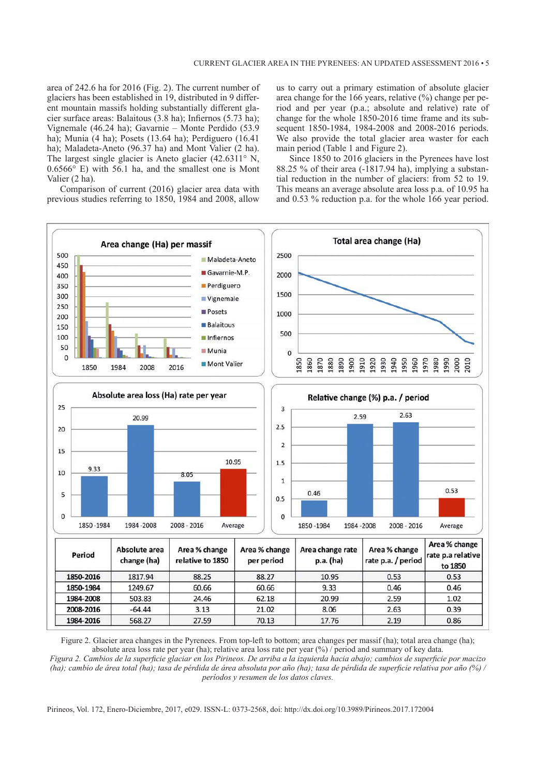area of 242.6 ha for 2016 (Fig. 2). The current number of glaciers has been established in 19, distributed in 9 different mountain massifs holding substantially different glacier surface areas: Balaitous (3.8 ha); Infiernos (5.73 ha); Vignemale (46.24 ha); Gavarnie – Monte Perdido (53.9 ha); Munia (4 ha); Posets (13.64 ha); Perdiguero (16.41 ha); Maladeta-Aneto (96.37 ha) and Mont Valier (2 ha). The largest single glacier is Aneto glacier (42.6311° N, 0.6566° E) with 56.1 ha, and the smallest one is Mont Valier (2 ha).

Comparison of current (2016) glacier area data with previous studies referring to 1850, 1984 and 2008, allow us to carry out a primary estimation of absolute glacier area change for the 166 years, relative  $\frac{6}{6}$  change per period and per year (p.a.; absolute and relative) rate of change for the whole 1850-2016 time frame and its subsequent 1850-1984, 1984-2008 and 2008-2016 periods. We also provide the total glacier area waster for each main period (Table 1 and Figure 2).

Since 1850 to 2016 glaciers in the Pyrenees have lost 88.25 % of their area (-1817.94 ha), implying a substantial reduction in the number of glaciers: from 52 to 19. This means an average absolute area loss p.a. of 10.95 ha and 0.53 % reduction p.a. for the whole 166 year period.



Figure 2. Glacier area changes in the Pyrenees. From top-left to bottom; area changes per massif (ha); total area change (ha); absolute area loss rate per year (ha); relative area loss rate per year (%) / period and summary of key data.

Figura 2. Cambios de la superficie glaciar en los Pirineos. De arriba a la izquierda hacia abajo; cambios de superficie por macizo (ha); cambio de área total (ha); tasa de pérdida de área absoluta por año (ha); tasa de pérdida de superficie relativa por año (%) / *períodos y resumen de los datos claves.*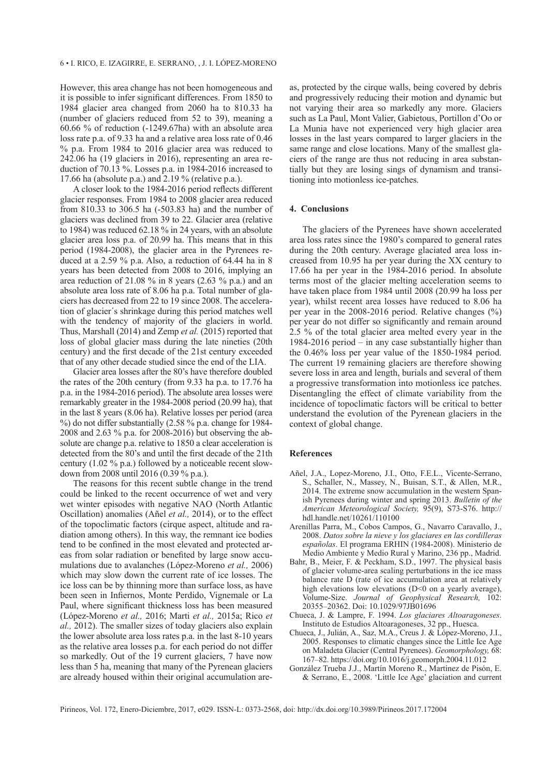However, this area change has not been homogeneous and it is possible to infer significant differences. From 1850 to 1984 glacier area changed from 2060 ha to 810.33 ha (number of glaciers reduced from 52 to 39), meaning a 60.66 % of reduction (-1249.67ha) with an absolute area loss rate p.a. of 9.33 ha and a relative area loss rate of 0.46 % p.a. From 1984 to 2016 glacier area was reduced to 242.06 ha (19 glaciers in 2016), representing an area reduction of 70.13 %. Losses p.a. in 1984-2016 increased to 17.66 ha (absolute p.a.) and  $2.19\%$  (relative p.a.).

A closer look to the 1984-2016 period reflects different glacier responses. From 1984 to 2008 glacier area reduced from 810.33 to 306.5 ha (-503.83 ha) and the number of glaciers was declined from 39 to 22. Glacier area (relative to 1984) was reduced 62.18 % in 24 years, with an absolute glacier area loss p.a. of 20.99 ha. This means that in this period (1984-2008), the glacier area in the Pyrenees reduced at a 2.59 % p.a. Also, a reduction of 64.44 ha in 8 years has been detected from 2008 to 2016, implying an area reduction of 21.08 % in 8 years (2.63 % p.a.) and an absolute area loss rate of 8.06 ha p.a. Total number of glaciers has decreased from 22 to 19 since 2008. The acceleration of glacier´s shrinkage during this period matches well with the tendency of majority of the glaciers in world. Thus, Marshall (2014) and Zemp *et al.* (2015) reported that loss of global glacier mass during the late nineties (20th century) and the first decade of the 21st century exceeded that of any other decade studied since the end of the LIA.

Glacier area losses after the 80's have therefore doubled the rates of the 20th century (from 9.33 ha p.a. to 17.76 ha p.a. in the 1984-2016 period). The absolute area losses were remarkably greater in the 1984-2008 period (20.99 ha), that in the last 8 years (8.06 ha). Relative losses per period (area %) do not differ substantially (2.58 % p.a. change for 1984- 2008 and 2.63 % p.a. for 2008-2016) but observing the absolute are change p.a. relative to 1850 a clear acceleration is detected from the 80's and until the first decade of the 21th century (1.02 % p.a.) followed by a noticeable recent slowdown from 2008 until 2016 (0.39 % p.a.).

The reasons for this recent subtle change in the trend could be linked to the recent occurrence of wet and very wet winter episodes with negative NAO (North Atlantic Oscillation) anomalies (Añel *et al.,* 2014), or to the effect of the topoclimatic factors (cirque aspect, altitude and radiation among others). In this way, the remnant ice bodies tend to be confined in the most elevated and protected areas from solar radiation or benefited by large snow accumulations due to avalanches (López-Moreno *et al.,* 2006) which may slow down the current rate of ice losses. The ice loss can be by thinning more than surface loss, as have been seen in Infiernos, Monte Perdido, Vignemale or La Paul, where significant thickness loss has been measured (López-Moreno *et al.,* 2016; Marti *et al.,* 2015a; Rico *et al.,* 2012). The smaller sizes of today glaciers also explain the lower absolute area loss rates p.a. in the last 8-10 years as the relative area losses p.a. for each period do not differ so markedly. Out of the 19 current glaciers, 7 have now less than 5 ha, meaning that many of the Pyrenean glaciers are already housed within their original accumulation areas, protected by the cirque walls, being covered by debris and progressively reducing their motion and dynamic but not varying their area so markedly any more. Glaciers such as La Paul, Mont Valier, Gabietous, Portillon d'Oo or La Munia have not experienced very high glacier area losses in the last years compared to larger glaciers in the same range and close locations. Many of the smallest glaciers of the range are thus not reducing in area substantially but they are losing sings of dynamism and transitioning into motionless ice-patches.

#### **4. Conclusions**

The glaciers of the Pyrenees have shown accelerated area loss rates since the 1980's compared to general rates during the 20th century. Average glaciated area loss increased from 10.95 ha per year during the XX century to 17.66 ha per year in the 1984-2016 period. In absolute terms most of the glacier melting acceleration seems to have taken place from 1984 until 2008 (20.99 ha loss per year), whilst recent area losses have reduced to 8.06 ha per year in the 2008-2016 period. Relative changes (%) per year do not differ so significantly and remain around 2.5 % of the total glacier area melted every year in the 1984-2016 period – in any case substantially higher than the 0.46% loss per year value of the 1850-1984 period. The current 19 remaining glaciers are therefore showing severe loss in area and length, burials and several of them a progressive transformation into motionless ice patches. Disentangling the effect of climate variability from the incidence of topoclimatic factors will be critical to better understand the evolution of the Pyrenean glaciers in the context of global change.

#### **References**

- Añel, J.A., Lopez-Moreno, J.I., Otto, F.E.L., Vicente-Serrano, S., Schaller, N., Massey, N., Buisan, S.T., & Allen, M.R., 2014. The extreme snow accumulation in the western Spanish Pyrenees during winter and spring 2013. *Bulletin of the American Meteorological Society,* 95(9), S73-S76. [http://](http://hdl.handle.net/10261/110100) [hdl.handle.net/10261/110100](http://hdl.handle.net/10261/110100)
- Arenillas Parra, M., Cobos Campos, G., Navarro Caravallo, J., 2008. *Datos sobre la nieve y los glaciares en las cordilleras españolas*. El programa ERHIN (1984-2008). Ministerio de Medio Ambiente y Medio Rural y Marino, 236 pp., Madrid.
- Bahr, B., Meier, F. & Peckham, S.D., 1997. The physical basis of glacier volume-area scaling perturbations in the ice mass balance rate D (rate of ice accumulation area at relatively high elevations low elevations (D<0 on a yearly average), Volume-Size. *Journal of Geophysical Research,* 102: 20355–20362. Doi: 10.1029/97JB01696
- Chueca, J. & Lampre, F. 1994. *Los glaciares Altoaragoneses*. Instituto de Estudios Altoaragoneses, 32 pp., Huesca.
- Chueca, J., Julián, A., Saz, M.A., Creus J. & López-Moreno, J.I., 2005. Responses to climatic changes since the Little Ice Age on Maladeta Glacier (Central Pyrenees). *Geomorphology,* 68: 167–82. <https://doi.org/10.1016/j.geomorph.2004.11.012>
- González Trueba J.J., Martín Moreno R., Martínez de Pisón, E. & Serrano, E., 2008. 'Little Ice Age' glaciation and current